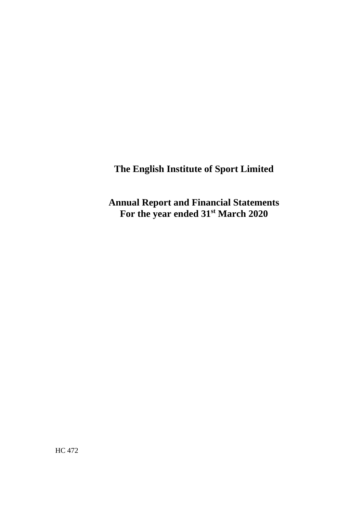**Annual Report and Financial Statements For the year ended 31st March 2020**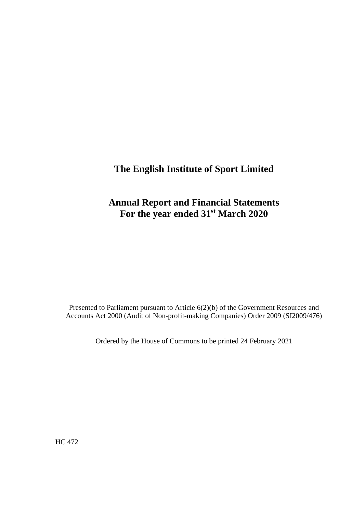# **Annual Report and Financial Statements For the year ended 31st March 2020**

Presented to Parliament pursuant to Article 6(2)(b) of the Government Resources and Accounts Act 2000 (Audit of Non-profit-making Companies) Order 2009 (SI2009/476)

Ordered by the House of Commons to be printed 24 February 2021

HC 472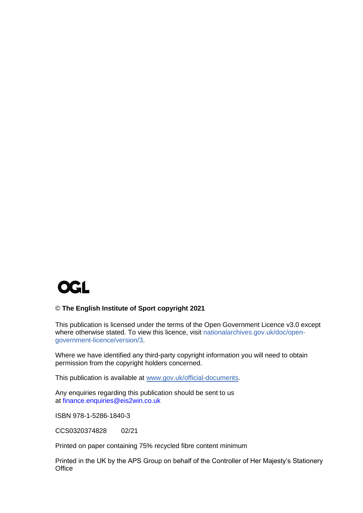

## © **The English Institute of Sport copyright 2021**

This publication is licensed under the terms of the Open Government Licence v3.0 except where otherwise stated. To view this licence, visit [nationalarchives.gov.uk/doc/open](http://www.nationalarchives.gov.uk/doc/open-government-licence/version/3)[government-licence/version/3.](http://www.nationalarchives.gov.uk/doc/open-government-licence/version/3)

Where we have identified any third-party copyright information you will need to obtain permission from the copyright holders concerned.

This publication is available at [www.gov.uk/official-documents](https://www.gov.uk/government/publications).

Any enquiries regarding this publication should be sent to us at [finance.enquiries@eis2win.co.uk](mailto:finance.enquiries@eis2win.co.uk)

ISBN 978-1-5286-1840-3

CCS0320374828 02/21

Printed on paper containing 75% recycled fibre content minimum

Printed in the UK by the APS Group on behalf of the Controller of Her Majesty's Stationery **Office**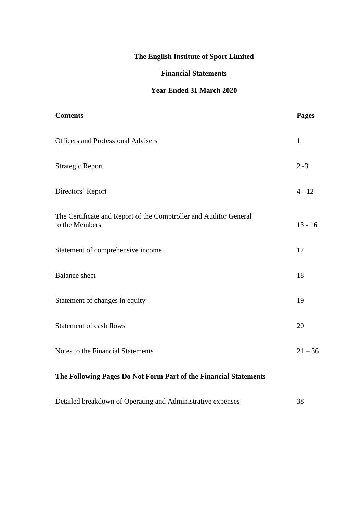## **Financial Statements**

## **Year Ended 31 March 2020**

| <b>Contents</b>                                                                     | <b>Pages</b> |
|-------------------------------------------------------------------------------------|--------------|
| <b>Officers and Professional Advisers</b>                                           | $\mathbf{1}$ |
| <b>Strategic Report</b>                                                             | $2 - 3$      |
| Directors' Report                                                                   | $4 - 12$     |
| The Certificate and Report of the Comptroller and Auditor General<br>to the Members | $13 - 16$    |
| Statement of comprehensive income                                                   | 17           |
| <b>Balance</b> sheet                                                                | 18           |
| Statement of changes in equity                                                      | 19           |
| Statement of cash flows                                                             | 20           |
| Notes to the Financial Statements                                                   | $21 - 36$    |
|                                                                                     |              |

# **The Following Pages Do Not Form Part of the Financial Statements**

| Detailed breakdown of Operating and Administrative expenses | 38 |
|-------------------------------------------------------------|----|
|-------------------------------------------------------------|----|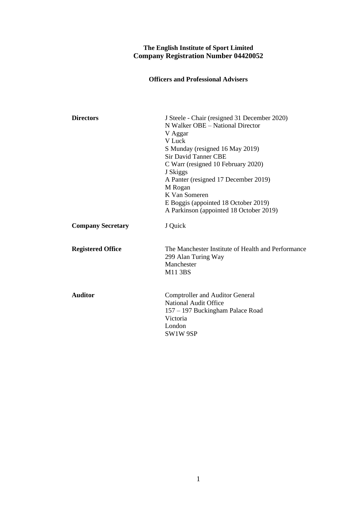## **The English Institute of Sport Limited Company Registration Number 04420052**

## **Officers and Professional Advisers**

| <b>Directors</b>         | J Steele - Chair (resigned 31 December 2020)<br>N Walker OBE – National Director<br>V Aggar<br>V Luck<br>S Munday (resigned 16 May 2019)<br><b>Sir David Tanner CBE</b><br>C Warr (resigned 10 February 2020)<br>J Skiggs<br>A Panter (resigned 17 December 2019)<br>M Rogan<br>K Van Someren |
|--------------------------|-----------------------------------------------------------------------------------------------------------------------------------------------------------------------------------------------------------------------------------------------------------------------------------------------|
|                          | E Boggis (appointed 18 October 2019)<br>A Parkinson (appointed 18 October 2019)                                                                                                                                                                                                               |
| <b>Company Secretary</b> | J Quick                                                                                                                                                                                                                                                                                       |
| <b>Registered Office</b> | The Manchester Institute of Health and Performance<br>299 Alan Turing Way<br>Manchester<br>M11 3BS                                                                                                                                                                                            |
| <b>Auditor</b>           | <b>Comptroller and Auditor General</b><br><b>National Audit Office</b><br>157 – 197 Buckingham Palace Road<br>Victoria<br>London<br>SW1W9SP                                                                                                                                                   |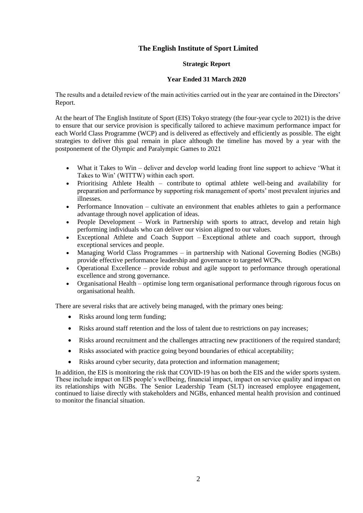#### **Strategic Report**

## **Year Ended 31 March 2020**

The results and a detailed review of the main activities carried out in the year are contained in the Directors' Report.

At the heart of The English Institute of Sport (EIS) Tokyo strategy (the four-year cycle to 2021) is the drive to ensure that our service provision is specifically tailored to achieve maximum performance impact for each World Class Programme (WCP) and is delivered as effectively and efficiently as possible. The eight strategies to deliver this goal remain in place although the timeline has moved by a year with the postponement of the Olympic and Paralympic Games to 2021

- What it Takes to Win deliver and develop world leading front line support to achieve 'What it Takes to Win' (WITTW) within each sport.
- Prioritising Athlete Health contribute to optimal athlete well-being and availability for preparation and performance by supporting risk management of sports' most prevalent injuries and illnesses.
- Performance Innovation cultivate an environment that enables athletes to gain a performance advantage through novel application of ideas.
- People Development Work in Partnership with sports to attract, develop and retain high performing individuals who can deliver our vision aligned to our values.
- Exceptional Athlete and Coach Support Exceptional athlete and coach support, through exceptional services and people.
- Managing World Class Programmes in partnership with National Governing Bodies (NGBs) provide effective performance leadership and governance to targeted WCPs.
- Operational Excellence provide robust and agile support to performance through operational excellence and strong governance.
- Organisational Health optimise long term organisational performance through rigorous focus on organisational health.

There are several risks that are actively being managed, with the primary ones being:

- Risks around long term funding;
- Risks around staff retention and the loss of talent due to restrictions on pay increases;
- Risks around recruitment and the challenges attracting new practitioners of the required standard;
- Risks associated with practice going beyond boundaries of ethical acceptability;
- Risks around cyber security, data protection and information management;

In addition, the EIS is monitoring the risk that COVID-19 has on both the EIS and the wider sports system. These include impact on EIS people's wellbeing, financial impact, impact on service quality and impact on its relationships with NGBs. The Senior Leadership Team (SLT) increased employee engagement, continued to liaise directly with stakeholders and NGBs, enhanced mental health provision and continued to monitor the financial situation.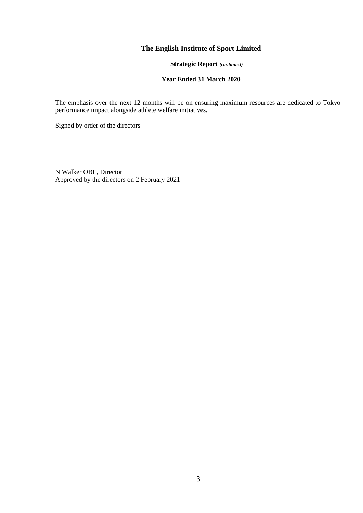## **Strategic Report** *(continued)*

## **Year Ended 31 March 2020**

The emphasis over the next 12 months will be on ensuring maximum resources are dedicated to Tokyo performance impact alongside athlete welfare initiatives.

Signed by order of the directors

N Walker OBE, Director Approved by the directors on 2 February 2021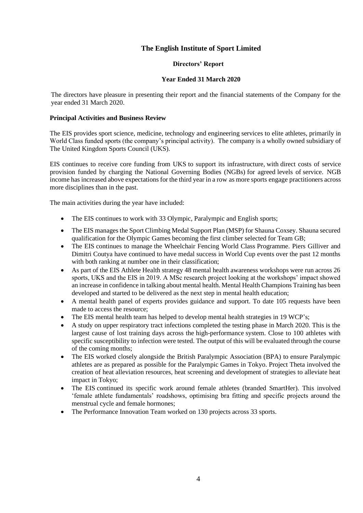#### **Directors' Report**

## **Year Ended 31 March 2020**

The directors have pleasure in presenting their report and the financial statements of the Company for the year ended 31 March 2020.

### **Principal Activities and Business Review**

The EIS provides sport science, medicine, technology and engineering services to elite athletes, primarily in World Class funded sports (the company's principal activity). The company is a wholly owned subsidiary of The United Kingdom Sports Council (UKS).

EIS continues to receive core funding from UKS to support its infrastructure, with direct costs of service provision funded by charging the National Governing Bodies (NGBs) for agreed levels of service. NGB income has increased above expectations for the third year in a row as more sports engage practitioners across more disciplines than in the past.

The main activities during the year have included:

- The EIS continues to work with 33 Olympic, Paralympic and English sports;
- The EIS manages the Sport Climbing Medal Support Plan (MSP) for Shauna Coxsey. Shauna secured qualification for the Olympic Games becoming the first climber selected for Team GB;
- The EIS continues to manage the Wheelchair Fencing World Class Programme. Piers Gilliver and Dimitri Coutya have continued to have medal success in World Cup events over the past 12 months with both ranking at number one in their classification;
- As part of the EIS Athlete Health strategy 48 mental health awareness workshops were run across 26 sports, UKS and the EIS in 2019. A MSc research project looking at the workshops' impact showed an increase in confidence in talking about mental health. Mental Health Champions Training has been developed and started to be delivered as the next step in mental health education;
- A mental health panel of experts provides guidance and support. To date 105 requests have been made to access the resource;
- The EIS mental health team has helped to develop mental health strategies in 19 WCP's;
- A study on upper respiratory tract infections completed the testing phase in March 2020. This is the largest cause of lost training days across the high-performance system. Close to 100 athletes with specific susceptibility to infection were tested. The output of this will be evaluated through the course of the coming months;
- The EIS worked closely alongside the British Paralympic Association (BPA) to ensure Paralympic athletes are as prepared as possible for the Paralympic Games in Tokyo. Project Theta involved the creation of heat alleviation resources, heat screening and development of strategies to alleviate heat impact in Tokyo;
- The EIS continued its specific work around female athletes (branded SmartHer). This involved 'female athlete fundamentals' roadshows, optimising bra fitting and specific projects around the menstrual cycle and female hormones;
- The Performance Innovation Team worked on 130 projects across 33 sports.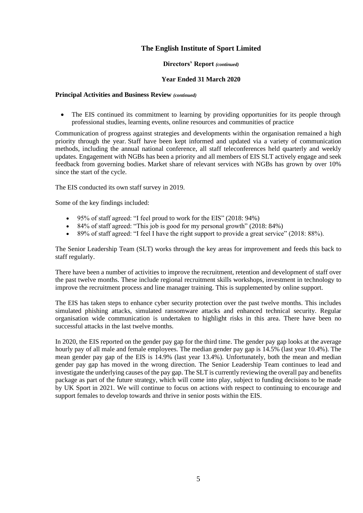#### **Directors' Report** *(continued)*

#### **Year Ended 31 March 2020**

#### **Principal Activities and Business Review** *(continued)*

• The EIS continued its commitment to learning by providing opportunities for its people through professional studies, learning events, online resources and communities of practice

Communication of progress against strategies and developments within the organisation remained a high priority through the year. Staff have been kept informed and updated via a variety of communication methods, including the annual national conference, all staff teleconferences held quarterly and weekly updates. Engagement with NGBs has been a priority and all members of EIS SLT actively engage and seek feedback from governing bodies. Market share of relevant services with NGBs has grown by over 10% since the start of the cycle.

The EIS conducted its own staff survey in 2019.

Some of the key findings included:

- 95% of staff agreed: "I feel proud to work for the EIS" (2018: 94%)
- 84% of staff agreed: "This job is good for my personal growth" (2018: 84%)
- 89% of staff agreed: "I feel I have the right support to provide a great service" (2018: 88%).

The Senior Leadership Team (SLT) works through the key areas for improvement and feeds this back to staff regularly.

There have been a number of activities to improve the recruitment, retention and development of staff over the past twelve months. These include regional recruitment skills workshops, investment in technology to improve the recruitment process and line manager training. This is supplemented by online support.

The EIS has taken steps to enhance cyber security protection over the past twelve months. This includes simulated phishing attacks, simulated ransomware attacks and enhanced technical security. Regular organisation wide communication is undertaken to highlight risks in this area. There have been no successful attacks in the last twelve months.

In 2020, the EIS reported on the gender pay gap for the third time. The gender pay gap looks at the average hourly pay of all male and female employees. The median gender pay gap is 14.5% (last year 10.4%). The mean gender pay gap of the EIS is 14.9% (last year 13.4%). Unfortunately, both the mean and median gender pay gap has moved in the wrong direction. The Senior Leadership Team continues to lead and investigate the underlying causes of the pay gap. The SLT is currently reviewing the overall pay and benefits package as part of the future strategy, which will come into play, subject to funding decisions to be made by UK Sport in 2021. We will continue to focus on actions with respect to continuing to encourage and support females to develop towards and thrive in senior posts within the EIS.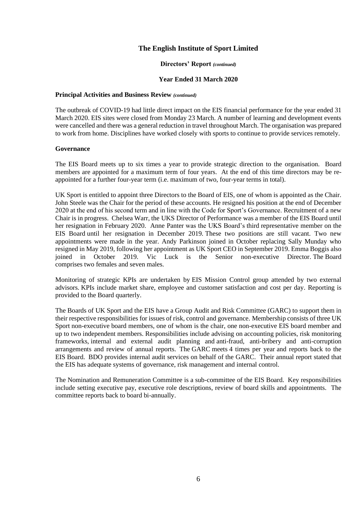#### **Directors' Report** *(continued)*

#### **Year Ended 31 March 2020**

#### **Principal Activities and Business Review** *(continued)*

The outbreak of COVID-19 had little direct impact on the EIS financial performance for the year ended 31 March 2020. EIS sites were closed from Monday 23 March. A number of learning and development events were cancelled and there was a general reduction in travel throughout March. The organisation was prepared to work from home. Disciplines have worked closely with sports to continue to provide services remotely.

#### **Governance**

The EIS Board meets up to six times a year to provide strategic direction to the organisation. Board members are appointed for a maximum term of four years. At the end of this time directors may be reappointed for a further four-year term (i.e. maximum of two, four-year terms in total).

UK Sport is entitled to appoint three Directors to the Board of EIS, one of whom is appointed as the Chair. John Steele was the Chair for the period of these accounts. He resigned his position at the end of December 2020 at the end of his second term and in line with the Code for Sport's Governance. Recruitment of a new Chair is in progress. Chelsea Warr, the UKS Director of Performance was a member of the EIS Board until her resignation in February 2020. Anne Panter was the UKS Board's third representative member on the EIS Board until her resignation in December 2019. These two positions are still vacant. Two new appointments were made in the year. Andy Parkinson joined in October replacing Sally Munday who resigned in May 2019, following her appointment as UK Sport CEO in September 2019. Emma Boggis also joined in October 2019. Vic Luck is the Senior non-executive Director. The Board comprises two females and seven males.

Monitoring of strategic KPIs are undertaken by EIS Mission Control group attended by two external advisors. KPIs include market share, employee and customer satisfaction and cost per day. Reporting is provided to the Board quarterly.

The Boards of UK Sport and the EIS have a Group Audit and Risk Committee (GARC) to support them in their respective responsibilities for issues of risk, control and governance. Membership consists of three UK Sport non-executive board members, one of whom is the chair, one non-executive EIS board member and up to two independent members. Responsibilities include advising on accounting policies, risk monitoring frameworks, internal and external audit planning and anti-fraud, anti-bribery and anti-corruption arrangements and review of annual reports. The GARC meets 4 times per year and reports back to the EIS Board. BDO provides internal audit services on behalf of the GARC. Their annual report stated that the EIS has adequate systems of governance, risk management and internal control.

The Nomination and Remuneration Committee is a sub-committee of the EIS Board. Key responsibilities include setting executive pay, executive role descriptions, review of board skills and appointments. The committee reports back to board bi-annually.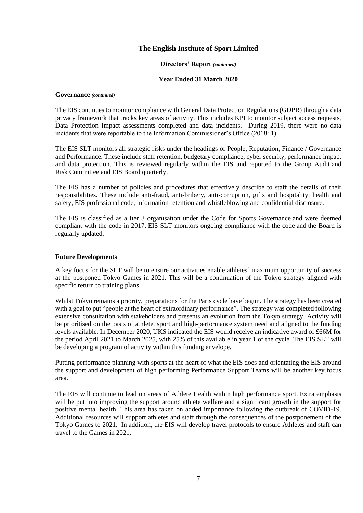#### **Directors' Report** *(continued)*

### **Year Ended 31 March 2020**

#### **Governance** *(continued)*

The EIS continues to monitor compliance with General Data Protection Regulations (GDPR) through a data privacy framework that tracks key areas of activity. This includes KPI to monitor subject access requests, Data Protection Impact assessments completed and data incidents. During 2019, there were no data incidents that were reportable to the Information Commissioner's Office (2018: 1).

The EIS SLT monitors all strategic risks under the headings of People, Reputation, Finance / Governance and Performance. These include staff retention, budgetary compliance, cyber security, performance impact and data protection. This is reviewed regularly within the EIS and reported to the Group Audit and Risk Committee and EIS Board quarterly.

The EIS has a number of policies and procedures that effectively describe to staff the details of their responsibilities. These include anti-fraud, anti-bribery, anti-corruption, gifts and hospitality, health and safety, EIS professional code, information retention and whistleblowing and confidential disclosure.

The EIS is classified as a tier 3 organisation under the Code for Sports Governance and were deemed compliant with the code in 2017. EIS SLT monitors ongoing compliance with the code and the Board is regularly updated.

#### **Future Developments**

A key focus for the SLT will be to ensure our activities enable athletes' maximum opportunity of success at the postponed Tokyo Games in 2021. This will be a continuation of the Tokyo strategy aligned with specific return to training plans.

Whilst Tokyo remains a priority, preparations for the Paris cycle have begun. The strategy has been created with a goal to put "people at the heart of extraordinary performance". The strategy was completed following extensive consultation with stakeholders and presents an evolution from the Tokyo strategy. Activity will be prioritised on the basis of athlete, sport and high-performance system need and aligned to the funding levels available. In December 2020, UKS indicated the EIS would receive an indicative award of £66M for the period April 2021 to March 2025, with 25% of this available in year 1 of the cycle. The EIS SLT will be developing a program of activity within this funding envelope.

Putting performance planning with sports at the heart of what the EIS does and orientating the EIS around the support and development of high performing Performance Support Teams will be another key focus area.

The EIS will continue to lead on areas of Athlete Health within high performance sport. Extra emphasis will be put into improving the support around athlete welfare and a significant growth in the support for positive mental health. This area has taken on added importance following the outbreak of COVID-19. Additional resources will support athletes and staff through the consequences of the postponement of the Tokyo Games to 2021. In addition, the EIS will develop travel protocols to ensure Athletes and staff can travel to the Games in 2021.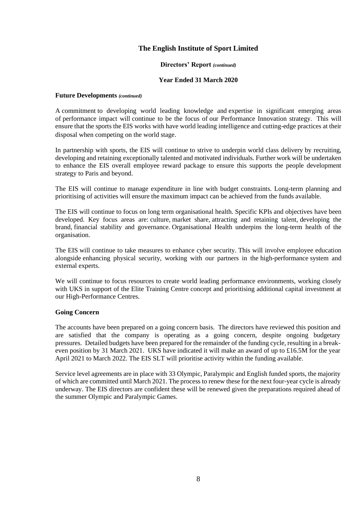#### **Directors' Report** *(continued)*

#### **Year Ended 31 March 2020**

#### **Future Developments** *(continued)*

A commitment to developing world leading knowledge and expertise in significant emerging areas of performance impact will continue to be the focus of our Performance Innovation strategy. This will ensure that the sports the EIS works with have world leading intelligence and cutting-edge practices at their disposal when competing on the world stage.

In partnership with sports, the EIS will continue to strive to underpin world class delivery by recruiting, developing and retaining exceptionally talented and motivated individuals. Further work will be undertaken to enhance the EIS overall employee reward package to ensure this supports the people development strategy to Paris and beyond.

The EIS will continue to manage expenditure in line with budget constraints. Long-term planning and prioritising of activities will ensure the maximum impact can be achieved from the funds available.

The EIS will continue to focus on long term organisational health. Specific KPIs and objectives have been developed. Key focus areas are: culture, market share, attracting and retaining talent, developing the brand, financial stability and governance. Organisational Health underpins the long-term health of the organisation.

The EIS will continue to take measures to enhance cyber security. This will involve employee education alongside enhancing physical security, working with our partners in the high-performance system and external experts.

We will continue to focus resources to create world leading performance environments, working closely with UKS in support of the Elite Training Centre concept and prioritising additional capital investment at our High-Performance Centres.

#### **Going Concern**

The accounts have been prepared on a going concern basis. The directors have reviewed this position and are satisfied that the company is operating as a going concern, despite ongoing budgetary pressures. Detailed budgets have been prepared for the remainder of the funding cycle, resulting in a breakeven position by 31 March 2021. UKS have indicated it will make an award of up to £16.5M for the year April 2021 to March 2022. The EIS SLT will prioritise activity within the funding available.

Service level agreements are in place with 33 Olympic, Paralympic and English funded sports, the majority of which are committed until March 2021. The process to renew these for the next four-year cycle is already underway. The EIS directors are confident these will be renewed given the preparations required ahead of the summer Olympic and Paralympic Games.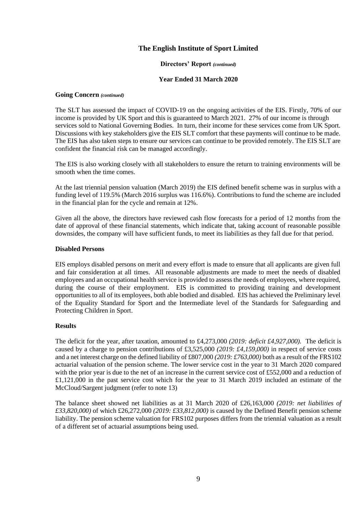#### **Directors' Report** *(continued)*

## **Year Ended 31 March 2020**

#### **Going Concern** *(continued)*

The SLT has assessed the impact of COVID-19 on the ongoing activities of the EIS. Firstly, 70% of our income is provided by UK Sport and this is guaranteed to March 2021. 27% of our income is through services sold to National Governing Bodies. In turn, their income for these services come from UK Sport. Discussions with key stakeholders give the EIS SLT comfort that these payments will continue to be made. The EIS has also taken steps to ensure our services can continue to be provided remotely. The EIS SLT are confident the financial risk can be managed accordingly.

The EIS is also working closely with all stakeholders to ensure the return to training environments will be smooth when the time comes.

At the last triennial pension valuation (March 2019) the EIS defined benefit scheme was in surplus with a funding level of 119.5% (March 2016 surplus was 116.6%). Contributions to fund the scheme are included in the financial plan for the cycle and remain at 12%.

Given all the above, the directors have reviewed cash flow forecasts for a period of 12 months from the date of approval of these financial statements, which indicate that, taking account of reasonable possible downsides, the company will have sufficient funds, to meet its liabilities as they fall due for that period.

#### **Disabled Persons**

EIS employs disabled persons on merit and every effort is made to ensure that all applicants are given full and fair consideration at all times. All reasonable adjustments are made to meet the needs of disabled employees and an occupational health service is provided to assess the needs of employees, where required, during the course of their employment. EIS is committed to providing training and development opportunities to all of its employees, both able bodied and disabled. EIS has achieved the Preliminary level of the Equality Standard for Sport and the Intermediate level of the Standards for Safeguarding and Protecting Children in Sport.

#### **Results**

The deficit for the year, after taxation, amounted to £4,273,000 *(2019: deficit £4,927,000).* The deficit is caused by a charge to pension contributions of £3,525,000 *(2019: £4,159,000)* in respect of service costs and a net interest charge on the defined liability of £807,000 *(2019: £763,000)* both as a result of the FRS102 actuarial valuation of the pension scheme. The lower service cost in the year to 31 March 2020 compared with the prior year is due to the net of an increase in the current service cost of £552,000 and a reduction of £1,121,000 in the past service cost which for the year to 31 March 2019 included an estimate of the McCloud/Sargent judgment (refer to note 13)

The balance sheet showed net liabilities as at 31 March 2020 of £26,163,000 *(2019: net liabilities of £33,820,000)* of which £26,272,000 *(2019: £33,812,000)* is caused by the Defined Benefit pension scheme liability. The pension scheme valuation for FRS102 purposes differs from the triennial valuation as a result of a different set of actuarial assumptions being used.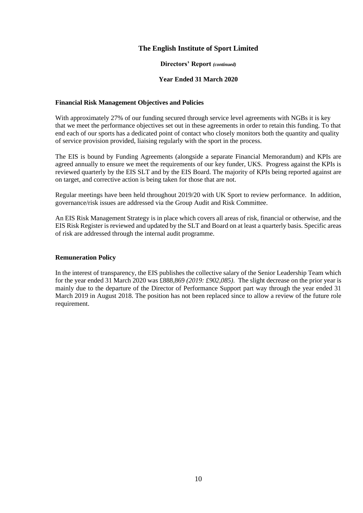#### **Directors' Report** *(continued)*

### **Year Ended 31 March 2020**

### **Financial Risk Management Objectives and Policies**

With approximately 27% of our funding secured through service level agreements with NGBs it is key that we meet the performance objectives set out in these agreements in order to retain this funding. To that end each of our sports has a dedicated point of contact who closely monitors both the quantity and quality of service provision provided, liaising regularly with the sport in the process.

The EIS is bound by Funding Agreements (alongside a separate Financial Memorandum) and KPIs are agreed annually to ensure we meet the requirements of our key funder, UKS. Progress against the KPIs is reviewed quarterly by the EIS SLT and by the EIS Board. The majority of KPIs being reported against are on target, and corrective action is being taken for those that are not.

Regular meetings have been held throughout 2019/20 with UK Sport to review performance. In addition, governance/risk issues are addressed via the Group Audit and Risk Committee.

An EIS Risk Management Strategy is in place which covers all areas of risk, financial or otherwise, and the EIS Risk Register is reviewed and updated by the SLT and Board on at least a quarterly basis. Specific areas of risk are addressed through the internal audit programme.

#### **Remuneration Policy**

In the interest of transparency, the EIS publishes the collective salary of the Senior Leadership Team which for the year ended 31 March 2020 was £888,869 *(2019: £902,085)*. The slight decrease on the prior year is mainly due to the departure of the Director of Performance Support part way through the year ended 31 March 2019 in August 2018. The position has not been replaced since to allow a review of the future role requirement.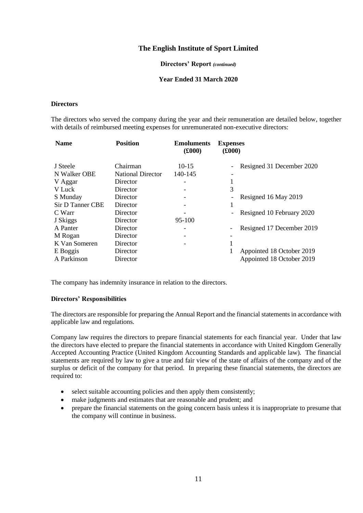#### **Directors' Report** *(continued)*

#### **Year Ended 31 March 2020**

## **Directors**

The directors who served the company during the year and their remuneration are detailed below, together with details of reimbursed meeting expenses for unremunerated non-executive directors:

| <b>Name</b>      | <b>Position</b>          | <b>Emoluments</b><br>(f000) | <b>Expenses</b><br>(f000) |                           |
|------------------|--------------------------|-----------------------------|---------------------------|---------------------------|
| J Steele         | Chairman                 | $10-15$                     |                           | Resigned 31 December 2020 |
| N Walker OBE     | <b>National Director</b> | 140-145                     | -                         |                           |
| V Aggar          | Director                 |                             |                           |                           |
| V Luck           | Director                 |                             | 3                         |                           |
| S Munday         | Director                 |                             |                           | Resigned 16 May 2019      |
| Sir D Tanner CBE | Director                 |                             | 1                         |                           |
| C Warr           | Director                 | -                           |                           | Resigned 10 February 2020 |
| J Skiggs         | Director                 | 95-100                      |                           |                           |
| A Panter         | Director                 |                             |                           | Resigned 17 December 2019 |
| M Rogan          | Director                 | $\overline{\phantom{0}}$    |                           |                           |
| K Van Someren    | Director                 |                             |                           |                           |
| E Boggis         | Director                 |                             | 1                         | Appointed 18 October 2019 |
| A Parkinson      | Director                 |                             |                           | Appointed 18 October 2019 |

The company has indemnity insurance in relation to the directors.

#### **Directors' Responsibilities**

The directors are responsible for preparing the Annual Report and the financial statements in accordance with applicable law and regulations.

Company law requires the directors to prepare financial statements for each financial year. Under that law the directors have elected to prepare the financial statements in accordance with United Kingdom Generally Accepted Accounting Practice (United Kingdom Accounting Standards and applicable law). The financial statements are required by law to give a true and fair view of the state of affairs of the company and of the surplus or deficit of the company for that period. In preparing these financial statements, the directors are required to:

- select suitable accounting policies and then apply them consistently;
- make judgments and estimates that are reasonable and prudent; and
- prepare the financial statements on the going concern basis unless it is inappropriate to presume that the company will continue in business.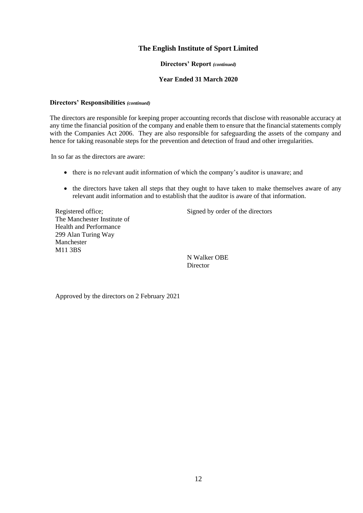#### **Directors' Report** *(continued)*

## **Year Ended 31 March 2020**

### **Directors' Responsibilities** *(continued)*

The directors are responsible for keeping proper accounting records that disclose with reasonable accuracy at any time the financial position of the company and enable them to ensure that the financial statements comply with the Companies Act 2006. They are also responsible for safeguarding the assets of the company and hence for taking reasonable steps for the prevention and detection of fraud and other irregularities.

In so far as the directors are aware:

- there is no relevant audit information of which the company's auditor is unaware; and
- the directors have taken all steps that they ought to have taken to make themselves aware of any relevant audit information and to establish that the auditor is aware of that information.

The Manchester Institute of Health and Performance 299 Alan Turing Way Manchester M11 3BS

Registered office; Signed by order of the directors

N Walker OBE Director

Approved by the directors on 2 February 2021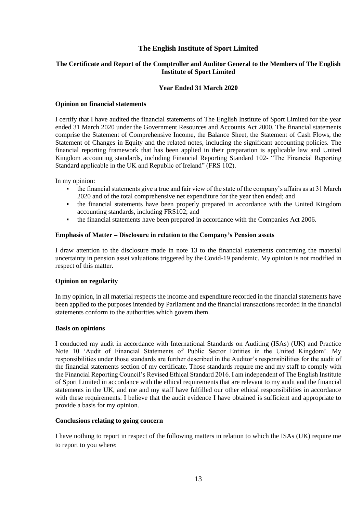## **The Certificate and Report of the Comptroller and Auditor General to the Members of The English Institute of Sport Limited**

## **Year Ended 31 March 2020**

#### **Opinion on financial statements**

I certify that I have audited the financial statements of The English Institute of Sport Limited for the year ended 31 March 2020 under the Government Resources and Accounts Act 2000. The financial statements comprise the Statement of Comprehensive Income, the Balance Sheet, the Statement of Cash Flows, the Statement of Changes in Equity and the related notes, including the significant accounting policies. The financial reporting framework that has been applied in their preparation is applicable law and United Kingdom accounting standards, including Financial Reporting Standard 102- "The Financial Reporting Standard applicable in the UK and Republic of Ireland" (FRS 102).

In my opinion:

- the financial statements give a true and fair view of the state of the company's affairs as at 31 March 2020 and of the total comprehensive net expenditure for the year then ended; and
- the financial statements have been properly prepared in accordance with the United Kingdom accounting standards, including FRS102; and
- the financial statements have been prepared in accordance with the Companies Act 2006.

#### **Emphasis of Matter – Disclosure in relation to the Company's Pension assets**

I draw attention to the disclosure made in note 13 to the financial statements concerning the material uncertainty in pension asset valuations triggered by the Covid-19 pandemic. My opinion is not modified in respect of this matter.

#### **Opinion on regularity**

In my opinion, in all material respects the income and expenditure recorded in the financial statements have been applied to the purposes intended by Parliament and the financial transactions recorded in the financial statements conform to the authorities which govern them.

#### **Basis on opinions**

I conducted my audit in accordance with International Standards on Auditing (ISAs) (UK) and Practice Note 10 'Audit of Financial Statements of Public Sector Entities in the United Kingdom'. My responsibilities under those standards are further described in the Auditor's responsibilities for the audit of the financial statements section of my certificate. Those standards require me and my staff to comply with the Financial Reporting Council's Revised Ethical Standard 2016. I am independent of The English Institute of Sport Limited in accordance with the ethical requirements that are relevant to my audit and the financial statements in the UK, and me and my staff have fulfilled our other ethical responsibilities in accordance with these requirements. I believe that the audit evidence I have obtained is sufficient and appropriate to provide a basis for my opinion.

#### **Conclusions relating to going concern**

I have nothing to report in respect of the following matters in relation to which the ISAs (UK) require me to report to you where: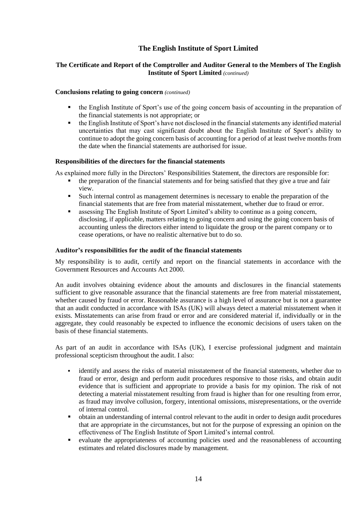## **The Certificate and Report of the Comptroller and Auditor General to the Members of The English Institute of Sport Limited** *(continued)*

#### **Conclusions relating to going concern** *(continued)*

- the English Institute of Sport's use of the going concern basis of accounting in the preparation of the financial statements is not appropriate; or
- the English Institute of Sport's have not disclosed in the financial statements any identified material uncertainties that may cast significant doubt about the English Institute of Sport's ability to continue to adopt the going concern basis of accounting for a period of at least twelve months from the date when the financial statements are authorised for issue.

#### **Responsibilities of the directors for the financial statements**

As explained more fully in the Directors' Responsibilities Statement, the directors are responsible for:

- the preparation of the financial statements and for being satisfied that they give a true and fair view.
- Such internal control as management determines is necessary to enable the preparation of the financial statements that are free from material misstatement, whether due to fraud or error.
- assessing The English Institute of Sport Limited's ability to continue as a going concern, disclosing, if applicable, matters relating to going concern and using the going concern basis of accounting unless the directors either intend to liquidate the group or the parent company or to cease operations, or have no realistic alternative but to do so.

#### **Auditor's responsibilities for the audit of the financial statements**

My responsibility is to audit, certify and report on the financial statements in accordance with the Government Resources and Accounts Act 2000.

An audit involves obtaining evidence about the amounts and disclosures in the financial statements sufficient to give reasonable assurance that the financial statements are free from material misstatement, whether caused by fraud or error. Reasonable assurance is a high level of assurance but is not a guarantee that an audit conducted in accordance with ISAs (UK) will always detect a material misstatement when it exists. Misstatements can arise from fraud or error and are considered material if, individually or in the aggregate, they could reasonably be expected to influence the economic decisions of users taken on the basis of these financial statements.

As part of an audit in accordance with ISAs (UK), I exercise professional judgment and maintain professional scepticism throughout the audit. I also:

- identify and assess the risks of material misstatement of the financial statements, whether due to fraud or error, design and perform audit procedures responsive to those risks, and obtain audit evidence that is sufficient and appropriate to provide a basis for my opinion. The risk of not detecting a material misstatement resulting from fraud is higher than for one resulting from error, as fraud may involve collusion, forgery, intentional omissions, misrepresentations, or the override of internal control.
- obtain an understanding of internal control relevant to the audit in order to design audit procedures that are appropriate in the circumstances, but not for the purpose of expressing an opinion on the effectiveness of The English Institute of Sport Limited's internal control.
- evaluate the appropriateness of accounting policies used and the reasonableness of accounting estimates and related disclosures made by management.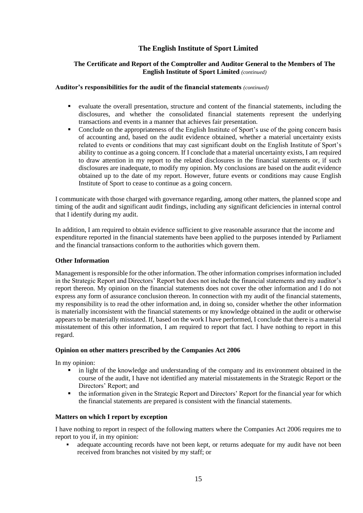## **The Certificate and Report of the Comptroller and Auditor General to the Members of The English Institute of Sport Limited** *(continued)*

### **Auditor's responsibilities for the audit of the financial statements** *(continued)*

- evaluate the overall presentation, structure and content of the financial statements, including the disclosures, and whether the consolidated financial statements represent the underlying transactions and events in a manner that achieves fair presentation.
- Conclude on the appropriateness of the English Institute of Sport's use of the going concern basis of accounting and, based on the audit evidence obtained, whether a material uncertainty exists related to events or conditions that may cast significant doubt on the English Institute of Sport's ability to continue as a going concern. If I conclude that a material uncertainty exists, I am required to draw attention in my report to the related disclosures in the financial statements or, if such disclosures are inadequate, to modify my opinion. My conclusions are based on the audit evidence obtained up to the date of my report. However, future events or conditions may cause English Institute of Sport to cease to continue as a going concern.

I communicate with those charged with governance regarding, among other matters, the planned scope and timing of the audit and significant audit findings, including any significant deficiencies in internal control that I identify during my audit.

In addition, I am required to obtain evidence sufficient to give reasonable assurance that the income and expenditure reported in the financial statements have been applied to the purposes intended by Parliament and the financial transactions conform to the authorities which govern them.

### **Other Information**

Management is responsible for the other information. The other information comprises information included in the Strategic Report and Directors' Report but does not include the financial statements and my auditor's report thereon. My opinion on the financial statements does not cover the other information and I do not express any form of assurance conclusion thereon. In connection with my audit of the financial statements, my responsibility is to read the other information and, in doing so, consider whether the other information is materially inconsistent with the financial statements or my knowledge obtained in the audit or otherwise appears to be materially misstated. If, based on the work I have performed, I conclude that there is a material misstatement of this other information, I am required to report that fact. I have nothing to report in this regard.

#### **Opinion on other matters prescribed by the Companies Act 2006**

In my opinion:

- in light of the knowledge and understanding of the company and its environment obtained in the course of the audit, I have not identified any material misstatements in the Strategic Report or the Directors' Report; and
- the information given in the Strategic Report and Directors' Report for the financial year for which the financial statements are prepared is consistent with the financial statements.

#### **Matters on which I report by exception**

I have nothing to report in respect of the following matters where the Companies Act 2006 requires me to report to you if, in my opinion:

adequate accounting records have not been kept, or returns adequate for my audit have not been received from branches not visited by my staff; or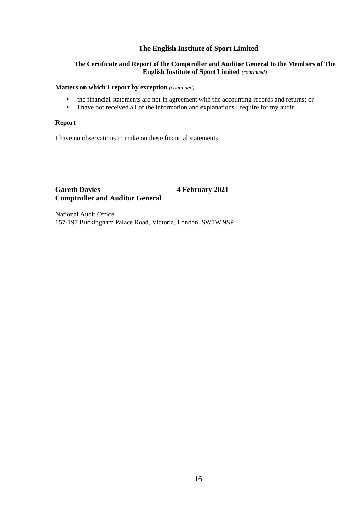## **The Certificate and Report of the Comptroller and Auditor General to the Members of The English Institute of Sport Limited** *(continued)*

#### **Matters on which I report by exception** *(continued)*

- the financial statements are not in agreement with the accounting records and returns; or
- I have not received all of the information and explanations I require for my audit.

#### **Report**

I have no observations to make on these financial statements

## **Gareth Davies 4 February 2021 Comptroller and Auditor General**

National Audit Office 157-197 Buckingham Palace Road, Victoria, London, SW1W 9SP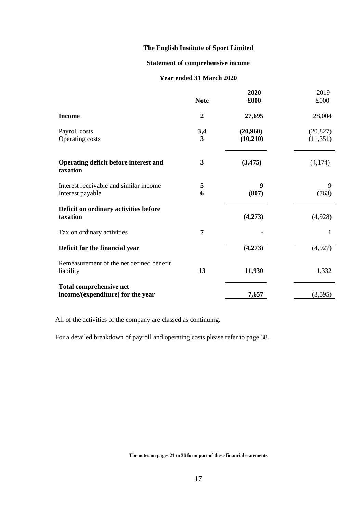#### **Statement of comprehensive income**

## **Year ended 31 March 2020**

|                                                                     |                  | 2020     | 2019      |
|---------------------------------------------------------------------|------------------|----------|-----------|
|                                                                     | <b>Note</b>      | £000     | £000      |
| <b>Income</b>                                                       | $\boldsymbol{2}$ | 27,695   | 28,004    |
| Payroll costs                                                       | 3,4              | (20,960) | (20, 827) |
| Operating costs                                                     | 3                | (10,210) | (11,351)  |
| Operating deficit before interest and<br>taxation                   | 3                | (3, 475) | (4,174)   |
| Interest receivable and similar income                              | 5                | 9        | 9         |
| Interest payable                                                    | 6                | (807)    | (763)     |
| Deficit on ordinary activities before<br>taxation                   |                  | (4,273)  | (4,928)   |
| Tax on ordinary activities                                          | 7                |          | 1         |
| Deficit for the financial year                                      |                  | (4,273)  | (4,927)   |
| Remeasurement of the net defined benefit<br>liability               | 13               | 11,930   | 1,332     |
| <b>Total comprehensive net</b><br>income/(expenditure) for the year |                  | 7,657    | (3, 595)  |

All of the activities of the company are classed as continuing.

For a detailed breakdown of payroll and operating costs please refer to page 38.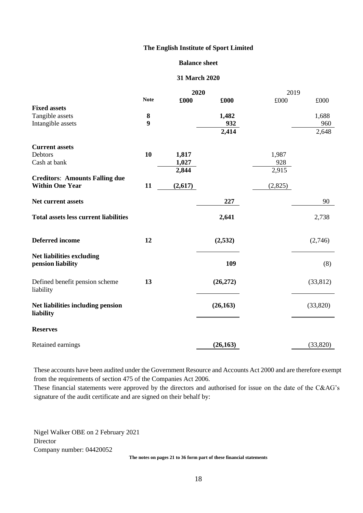#### **Balance sheet**

## **31 March 2020**

|                                                |                  | 2020    |           | 2019    |           |
|------------------------------------------------|------------------|---------|-----------|---------|-----------|
|                                                | <b>Note</b>      | £000    | £000      | £000    | £000      |
| <b>Fixed assets</b>                            |                  |         |           |         |           |
| Tangible assets                                | 8                |         | 1,482     |         | 1,688     |
| Intangible assets                              | $\boldsymbol{9}$ |         | 932       |         | 960       |
|                                                |                  |         | 2,414     |         | 2,648     |
| <b>Current assets</b>                          |                  |         |           |         |           |
| Debtors                                        | 10               | 1,817   |           | 1,987   |           |
| Cash at bank                                   |                  | 1,027   |           | 928     |           |
|                                                |                  | 2,844   |           | 2,915   |           |
| <b>Creditors: Amounts Falling due</b>          |                  |         |           |         |           |
| <b>Within One Year</b>                         | 11               | (2,617) |           | (2,825) |           |
|                                                |                  |         |           |         |           |
| Net current assets                             |                  |         | 227       |         | 90        |
| <b>Total assets less current liabilities</b>   |                  |         | 2,641     |         | 2,738     |
| <b>Deferred</b> income                         | 12               |         | (2,532)   |         | (2,746)   |
| Net liabilities excluding                      |                  |         |           |         |           |
| pension liability                              |                  |         | 109       |         | (8)       |
| Defined benefit pension scheme<br>liability    | 13               |         | (26, 272) |         | (33, 812) |
| Net liabilities including pension<br>liability |                  |         | (26, 163) |         | (33,820)  |
| <b>Reserves</b>                                |                  |         |           |         |           |
| Retained earnings                              |                  |         | (26, 163) |         | (33,820)  |

These accounts have been audited under the Government Resource and Accounts Act 2000 and are therefore exempt from the requirements of section 475 of the Companies Act 2006.

These financial statements were approved by the directors and authorised for issue on the date of the C&AG's signature of the audit certificate and are signed on their behalf by:

Nigel Walker OBE on 2 February 2021 Director Company number: 04420052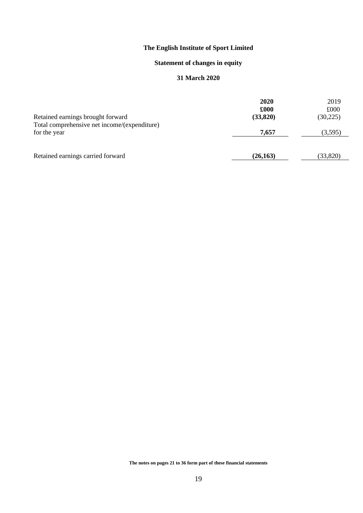## **Statement of changes in equity**

## **31 March 2020**

|                                              | 2020               | 2019      |
|----------------------------------------------|--------------------|-----------|
|                                              | $\pmb{\pounds}000$ | £000      |
| Retained earnings brought forward            | (33,820)           | (30, 225) |
| Total comprehensive net income/(expenditure) |                    |           |
| for the year                                 | 7,657              | (3,595)   |
|                                              |                    |           |
| Retained earnings carried forward            | (26, 163)          | (33, 820) |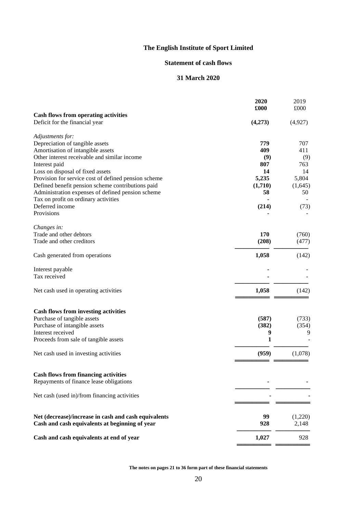#### **Statement of cash flows**

## **31 March 2020**

|                                                                               | 2020<br>£000 | 2019<br>£000 |
|-------------------------------------------------------------------------------|--------------|--------------|
| <b>Cash flows from operating activities</b><br>Deficit for the financial year | (4,273)      | (4,927)      |
| Adjustments for:                                                              |              |              |
| Depreciation of tangible assets                                               | 779          | 707          |
| Amortisation of intangible assets                                             | 409          | 411          |
| Other interest receivable and similar income                                  | (9)          | (9)          |
| Interest paid                                                                 | 807          | 763          |
| Loss on disposal of fixed assets                                              | 14           | 14           |
| Provision for service cost of defined pension scheme                          | 5,235        | 5,804        |
| Defined benefit pension scheme contributions paid                             | (1,710)      | (1,645)      |
| Administration expenses of defined pension scheme                             | 58           | 50           |
| Tax on profit on ordinary activities                                          |              |              |
| Deferred income<br>Provisions                                                 | (214)        | (73)         |
| Changes in:                                                                   |              |              |
| Trade and other debtors                                                       | 170          | (760)        |
| Trade and other creditors                                                     | (208)        | (477)        |
|                                                                               |              |              |
| Cash generated from operations                                                | 1,058        | (142)        |
| Interest payable                                                              |              |              |
| Tax received                                                                  |              |              |
| Net cash used in operating activities                                         | 1,058        | (142)        |
| <b>Cash flows from investing activities</b>                                   |              |              |
| Purchase of tangible assets                                                   | (587)        | (733)        |
| Purchase of intangible assets                                                 | (382)        | (354)        |
| Interest received                                                             | 9            | 9            |
| Proceeds from sale of tangible assets                                         | $\mathbf{1}$ |              |
| Net cash used in investing activities                                         | (959)        | (1,078)      |
| <b>Cash flows from financing activities</b>                                   |              |              |
| Repayments of finance lease obligations                                       |              |              |
| Net cash (used in)/from financing activities                                  |              |              |
| Net (decrease)/increase in cash and cash equivalents                          | 99           | (1,220)      |
| Cash and cash equivalents at beginning of year                                | 928          | 2,148        |
| Cash and cash equivalents at end of year                                      | 1,027        | 928          |
|                                                                               |              |              |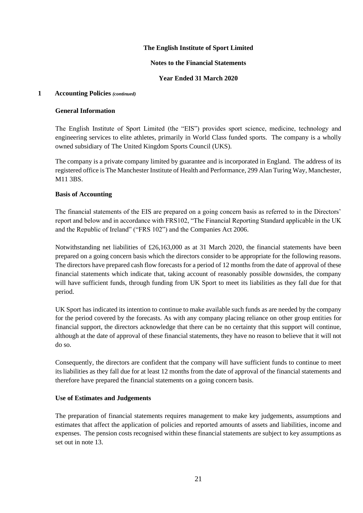## **Notes to the Financial Statements**

## **Year Ended 31 March 2020**

## **1 Accounting Policies** *(continued)*

## **General Information**

The English Institute of Sport Limited (the "EIS") provides sport science, medicine, technology and engineering services to elite athletes, primarily in World Class funded sports. The company is a wholly owned subsidiary of The United Kingdom Sports Council (UKS).

The company is a private company limited by guarantee and is incorporated in England. The address of its registered office is The Manchester Institute of Health and Performance, 299 Alan Turing Way, Manchester, M11 3BS.

## **Basis of Accounting**

The financial statements of the EIS are prepared on a going concern basis as referred to in the Directors' report and below and in accordance with FRS102, "The Financial Reporting Standard applicable in the UK and the Republic of Ireland" ("FRS 102") and the Companies Act 2006.

Notwithstanding net liabilities of £26,163,000 as at 31 March 2020, the financial statements have been prepared on a going concern basis which the directors consider to be appropriate for the following reasons. The directors have prepared cash flow forecasts for a period of 12 months from the date of approval of these financial statements which indicate that, taking account of reasonably possible downsides, the company will have sufficient funds, through funding from UK Sport to meet its liabilities as they fall due for that period.

UK Sport has indicated its intention to continue to make available such funds as are needed by the company for the period covered by the forecasts. As with any company placing reliance on other group entities for financial support, the directors acknowledge that there can be no certainty that this support will continue, although at the date of approval of these financial statements, they have no reason to believe that it will not do so.

Consequently, the directors are confident that the company will have sufficient funds to continue to meet its liabilities as they fall due for at least 12 months from the date of approval of the financial statements and therefore have prepared the financial statements on a going concern basis.

## **Use of Estimates and Judgements**

The preparation of financial statements requires management to make key judgements, assumptions and estimates that affect the application of policies and reported amounts of assets and liabilities, income and expenses. The pension costs recognised within these financial statements are subject to key assumptions as set out in note 13.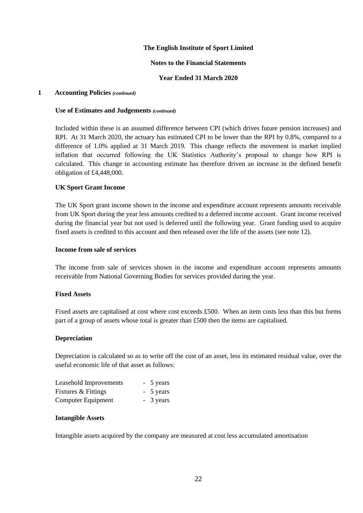## **Notes to the Financial Statements**

#### **Year Ended 31 March 2020**

#### **1 Accounting Policies** *(continued)*

#### **Use of Estimates and Judgements** *(continued)*

Included within these is an assumed difference between CPI (which drives future pension increases) and RPI. At 31 March 2020, the actuary has estimated CPI to be lower than the RPI by 0.8%, compared to a difference of 1.0% applied at 31 March 2019. This change reflects the movement in market implied inflation that occurred following the UK Statistics Authority's proposal to change how RPI is calculated. This change in accounting estimate has therefore driven an increase in the defined benefit obligation of £4,448,000.

#### **UK Sport Grant Income**

The UK Sport grant income shown in the income and expenditure account represents amounts receivable from UK Sport during the year less amounts credited to a deferred income account. Grant income received during the financial year but not used is deferred until the following year. Grant funding used to acquire fixed assets is credited to this account and then released over the life of the assets (see note 12).

#### **Income from sale of services**

The income from sale of services shown in the income and expenditure account represents amounts receivable from National Governing Bodies for services provided during the year.

#### **Fixed Assets**

Fixed assets are capitalised at cost where cost exceeds £500. When an item costs less than this but forms part of a group of assets whose total is greater than £500 then the items are capitalised.

#### **Depreciation**

Depreciation is calculated so as to write off the cost of an asset, less its estimated residual value, over the useful economic life of that asset as follows:

| Leasehold Improvements | - 5 years |
|------------------------|-----------|
| Fixtures & Fittings    | - 5 years |
| Computer Equipment     | - 3 years |

#### **Intangible Assets**

Intangible assets acquired by the company are measured at cost less accumulated amortisation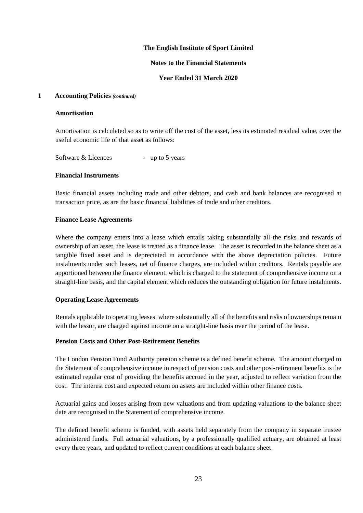### **Notes to the Financial Statements**

#### **Year Ended 31 March 2020**

#### **1 Accounting Policies** *(continued)*

#### **Amortisation**

Amortisation is calculated so as to write off the cost of the asset, less its estimated residual value, over the useful economic life of that asset as follows:

Software & Licences - up to 5 years

#### **Financial Instruments**

Basic financial assets including trade and other debtors, and cash and bank balances are recognised at transaction price, as are the basic financial liabilities of trade and other creditors.

#### **Finance Lease Agreements**

Where the company enters into a lease which entails taking substantially all the risks and rewards of ownership of an asset, the lease is treated as a finance lease. The asset is recorded in the balance sheet as a tangible fixed asset and is depreciated in accordance with the above depreciation policies. Future instalments under such leases, net of finance charges, are included within creditors. Rentals payable are apportioned between the finance element, which is charged to the statement of comprehensive income on a straight-line basis, and the capital element which reduces the outstanding obligation for future instalments.

#### **Operating Lease Agreements**

Rentals applicable to operating leases, where substantially all of the benefits and risks of ownerships remain with the lessor, are charged against income on a straight-line basis over the period of the lease.

#### **Pension Costs and Other Post-Retirement Benefits**

The London Pension Fund Authority pension scheme is a defined benefit scheme. The amount charged to the Statement of comprehensive income in respect of pension costs and other post-retirement benefits is the estimated regular cost of providing the benefits accrued in the year, adjusted to reflect variation from the cost. The interest cost and expected return on assets are included within other finance costs.

Actuarial gains and losses arising from new valuations and from updating valuations to the balance sheet date are recognised in the Statement of comprehensive income.

The defined benefit scheme is funded, with assets held separately from the company in separate trustee administered funds. Full actuarial valuations, by a professionally qualified actuary, are obtained at least every three years, and updated to reflect current conditions at each balance sheet.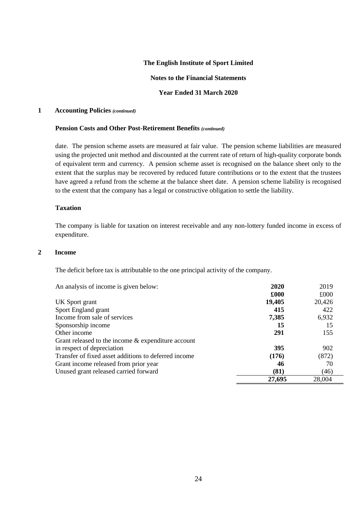## **Notes to the Financial Statements**

### **Year Ended 31 March 2020**

## **1 Accounting Policies** *(continued)*

#### **Pension Costs and Other Post-Retirement Benefits** *(continued)*

date. The pension scheme assets are measured at fair value. The pension scheme liabilities are measured using the projected unit method and discounted at the current rate of return of high-quality corporate bonds of equivalent term and currency. A pension scheme asset is recognised on the balance sheet only to the extent that the surplus may be recovered by reduced future contributions or to the extent that the trustees have agreed a refund from the scheme at the balance sheet date. A pension scheme liability is recognised to the extent that the company has a legal or constructive obligation to settle the liability.

## **Taxation**

The company is liable for taxation on interest receivable and any non-lottery funded income in excess of expenditure.

## **2 Income**

The deficit before tax is attributable to the one principal activity of the company.

| An analysis of income is given below:                | 2020               | 2019   |
|------------------------------------------------------|--------------------|--------|
|                                                      | $\pmb{\pounds}000$ | £000   |
| UK Sport grant                                       | 19,405             | 20,426 |
| Sport England grant                                  | 415                | 422    |
| Income from sale of services                         | 7,385              | 6,932  |
| Sponsorship income                                   | 15                 | 15     |
| Other income                                         | 291                | 155    |
| Grant released to the income & expenditure account   |                    |        |
| in respect of depreciation                           | 395                | 902    |
| Transfer of fixed asset additions to deferred income | (176)              | (872)  |
| Grant income released from prior year                | 46                 | 70     |
| Unused grant released carried forward                | (81)               | (46)   |
|                                                      | 27,695             | 28,004 |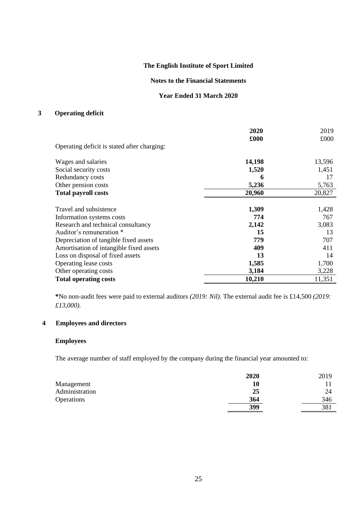## **Notes to the Financial Statements**

## **Year Ended 31 March 2020**

## **3 Operating deficit**

|                                             | 2020   | 2019   |
|---------------------------------------------|--------|--------|
| Operating deficit is stated after charging: | £000   | £000   |
| Wages and salaries                          | 14,198 | 13,596 |
| Social security costs                       | 1,520  | 1,451  |
| Redundancy costs                            | 6      | 17     |
| Other pension costs                         | 5,236  | 5,763  |
| <b>Total payroll costs</b>                  | 20,960 | 20,827 |
|                                             |        |        |
| Travel and subsistence                      | 1,309  | 1,428  |
| Information systems costs                   | 774    | 767    |
| Research and technical consultancy          | 2,142  | 3,083  |
| Auditor's remuneration *                    | 15     | 13     |
| Depreciation of tangible fixed assets       | 779    | 707    |
| Amortisation of intangible fixed assets     | 409    | 411    |
| Loss on disposal of fixed assets            | 13     | 14     |
| Operating lease costs                       | 1,585  | 1,700  |
| Other operating costs                       | 3,184  | 3,228  |
| <b>Total operating costs</b>                | 10,210 | 11,351 |

**\***No non-audit fees were paid to external auditors *(2019: Nil).* The external audit fee is £14,500 *(2019: £13,000).*

## **4 Employees and directors**

## **Employees**

The average number of staff employed by the company during the financial year amounted to:

|                   | 2020 | 2019 |
|-------------------|------|------|
| Management        | 10   |      |
| Administration    | 25   | 24   |
| <b>Operations</b> | 364  | 346  |
|                   | 399  | 381  |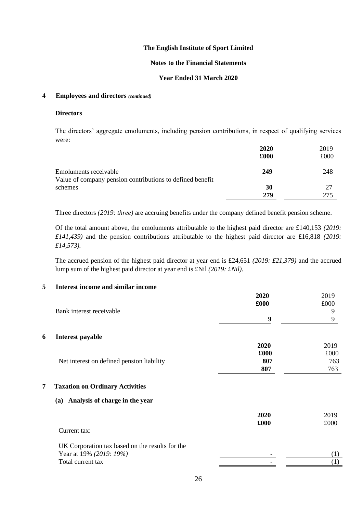#### **Notes to the Financial Statements**

## **Year Ended 31 March 2020**

#### **4 Employees and directors** *(continued)*

#### **Directors**

The directors' aggregate emoluments, including pension contributions, in respect of qualifying services were:

|                                                                                    | 2020 | 2019 |
|------------------------------------------------------------------------------------|------|------|
|                                                                                    | £000 | £000 |
| Emoluments receivable<br>Value of company pension contributions to defined benefit | 249  | 248  |
| schemes                                                                            | 30   | 27   |
|                                                                                    | 279  |      |

Three directors *(2019: three)* are accruing benefits under the company defined benefit pension scheme.

Of the total amount above, the emoluments attributable to the highest paid director are £140,153 *(2019: £141,439)* and the pension contributions attributable to the highest paid director are £16,818 *(2019: £14,573).*

The accrued pension of the highest paid director at year end is £24,651 *(2019: £21,379)* and the accrued lump sum of the highest paid director at year end is £Nil *(2019: £Nil).*

## **5 Interest income and similar income**

|   |                                                 | 2020 | 2019 |
|---|-------------------------------------------------|------|------|
|   |                                                 | £000 | £000 |
|   | Bank interest receivable                        |      | 9    |
|   |                                                 | 9    | 9    |
| 6 | Interest payable                                |      |      |
|   |                                                 | 2020 | 2019 |
|   |                                                 | £000 | £000 |
|   | Net interest on defined pension liability       | 807  | 763  |
|   |                                                 | 807  | 763  |
| 7 | <b>Taxation on Ordinary Activities</b>          |      |      |
|   | Analysis of charge in the year<br>(a)           |      |      |
|   |                                                 | 2020 | 2019 |
|   |                                                 | £000 | £000 |
|   | Current tax:                                    |      |      |
|   | UK Corporation tax based on the results for the |      |      |
|   | Year at 19% (2019: 19%)                         |      | (1)  |
|   | Total current tax                               |      | (1)  |
|   |                                                 |      |      |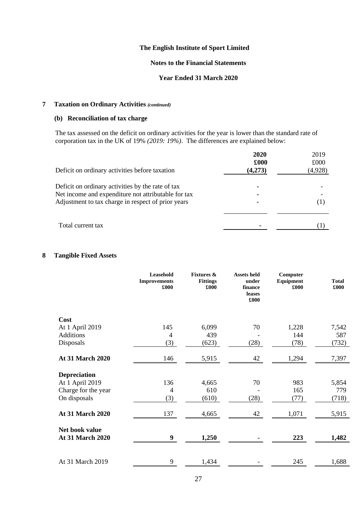#### **Notes to the Financial Statements**

## **Year Ended 31 March 2020**

## **7 Taxation on Ordinary Activities** *(continued)*

## **(b) Reconciliation of tax charge**

The tax assessed on the deficit on ordinary activities for the year is lower than the standard rate of corporation tax in the UK of 19% *(2019: 19%)*. The differences are explained below:

| 2019                    |
|-------------------------|
| £000                    |
| (4,928)                 |
|                         |
|                         |
| ( L                     |
|                         |
|                         |
| 2020<br>£000<br>(4,273) |

## **8 Tangible Fixed Assets**

|                                    | <b>Leasehold</b><br><b>Improvements</b><br>£000 | <b>Fixtures &amp;</b><br><b>Fittings</b><br>£000 | <b>Assets held</b><br>under<br>finance<br>leases<br>£000 | Computer<br>Equipment<br>£000 | <b>Total</b><br>£000 |
|------------------------------------|-------------------------------------------------|--------------------------------------------------|----------------------------------------------------------|-------------------------------|----------------------|
| Cost                               |                                                 |                                                  |                                                          |                               |                      |
| At 1 April 2019                    | 145                                             | 6,099                                            | 70                                                       | 1,228                         | 7,542                |
| <b>Additions</b>                   | 4                                               | 439                                              |                                                          | 144                           | 587                  |
| Disposals                          | (3)                                             | (623)                                            | (28)                                                     | (78)                          | (732)                |
| At 31 March 2020                   | 146                                             | 5,915                                            | 42                                                       | 1,294                         | 7,397                |
| <b>Depreciation</b>                |                                                 |                                                  |                                                          |                               |                      |
| At 1 April 2019                    | 136                                             | 4,665                                            | 70                                                       | 983                           | 5,854                |
| Charge for the year                | 4                                               | 610                                              |                                                          | 165                           | 779                  |
| On disposals                       | (3)                                             | (610)                                            | (28)                                                     | (77)                          | (718)                |
| At 31 March 2020                   | 137                                             | 4,665                                            | 42                                                       | 1,071                         | 5,915                |
| Net book value<br>At 31 March 2020 | $\boldsymbol{9}$                                | 1,250                                            |                                                          | 223                           | 1,482                |
| At 31 March 2019                   | 9                                               | 1,434                                            |                                                          | 245                           | 1,688                |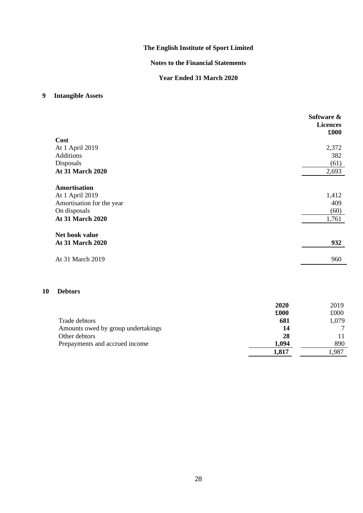## **Notes to the Financial Statements**

## **Year Ended 31 March 2020**

## **9 Intangible Assets**

|                                                                                                         | Software &<br><b>Licences</b><br>£000 |
|---------------------------------------------------------------------------------------------------------|---------------------------------------|
| Cost                                                                                                    |                                       |
| At 1 April 2019                                                                                         | 2,372                                 |
| <b>Additions</b>                                                                                        | 382                                   |
| Disposals                                                                                               | (61)                                  |
| <b>At 31 March 2020</b>                                                                                 | 2,693                                 |
| <b>Amortisation</b><br>At 1 April 2019<br>Amortisation for the year<br>On disposals<br>At 31 March 2020 | 1,412<br>409<br>(60)<br>1,761         |
| Net book value<br><b>At 31 March 2020</b>                                                               | 932                                   |
| At 31 March 2019                                                                                        | 960                                   |

## **10 Debtors**

|                                    | 2020  | 2019  |
|------------------------------------|-------|-------|
|                                    | £000  | £000  |
| Trade debtors                      | 681   | 1,079 |
| Amounts owed by group undertakings | 14    |       |
| Other debtors                      | 28    |       |
| Prepayments and accrued income     | 1,094 | 890   |
|                                    | 1,817 | 1,987 |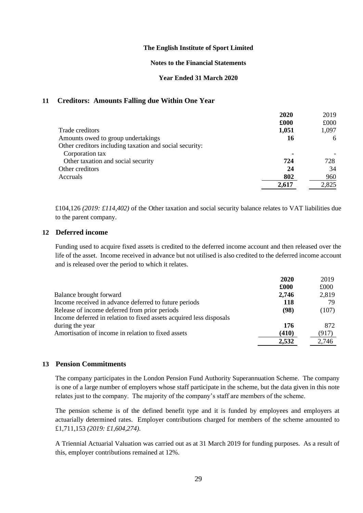#### **Notes to the Financial Statements**

## **Year Ended 31 March 2020**

## **11 Creditors: Amounts Falling due Within One Year**

|                                                         | 2020               | 2019  |
|---------------------------------------------------------|--------------------|-------|
|                                                         | $\pmb{\pounds}000$ | £000  |
| Trade creditors                                         | 1,051              | 1,097 |
| Amounts owed to group undertakings                      | 16                 | 6     |
| Other creditors including taxation and social security: |                    |       |
| Corporation tax                                         |                    |       |
| Other taxation and social security                      | 724                | 728   |
| Other creditors                                         | 24                 | 34    |
| <b>Accruals</b>                                         | 802                | 960   |
|                                                         | 2,617              | 2,825 |

£104,126 *(2019: £114,402)* of the Other taxation and social security balance relates to VAT liabilities due to the parent company.

#### **12 Deferred income**

Funding used to acquire fixed assets is credited to the deferred income account and then released over the life of the asset. Income received in advance but not utilised is also credited to the deferred income account and is released over the period to which it relates.

|                                                                     | 2020  | 2019  |
|---------------------------------------------------------------------|-------|-------|
|                                                                     | £000  | £000  |
| Balance brought forward                                             | 2,746 | 2,819 |
| Income received in advance deferred to future periods               | 118   | 79    |
| Release of income deferred from prior periods                       | (98)  | (107) |
| Income deferred in relation to fixed assets acquired less disposals |       |       |
| during the year                                                     | 176   | 872   |
| Amortisation of income in relation to fixed assets                  | (410) | (917) |
|                                                                     | 2,532 | 2,746 |

## **13 Pension Commitments**

The company participates in the London Pension Fund Authority Superannuation Scheme. The company is one of a large number of employers whose staff participate in the scheme, but the data given in this note relates just to the company. The majority of the company's staff are members of the scheme.

The pension scheme is of the defined benefit type and it is funded by employees and employers at actuarially determined rates. Employer contributions charged for members of the scheme amounted to £1,711,153 *(2019: £1,604,274).*

A Triennial Actuarial Valuation was carried out as at 31 March 2019 for funding purposes. As a result of this, employer contributions remained at 12%.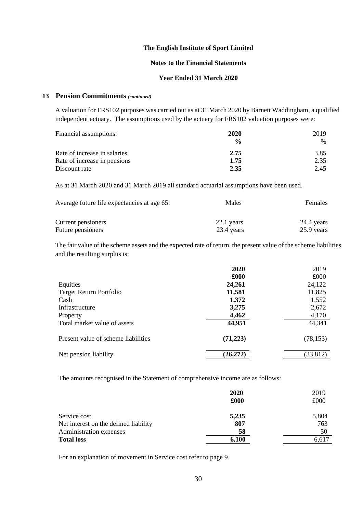#### **Notes to the Financial Statements**

## **Year Ended 31 March 2020**

#### **13 Pension Commitments** *(continued)*

A valuation for FRS102 purposes was carried out as at 31 March 2020 by Barnett Waddingham, a qualified independent actuary. The assumptions used by the actuary for FRS102 valuation purposes were:

| Financial assumptions:       | 2020               | 2019 |
|------------------------------|--------------------|------|
|                              | $\frac{0}{\alpha}$ | $\%$ |
| Rate of increase in salaries | 2.75               | 3.85 |
| Rate of increase in pensions | 1.75               | 2.35 |
| Discount rate                | 2.35               | 2.45 |

As at 31 March 2020 and 31 March 2019 all standard actuarial assumptions have been used.

| Average future life expectancies at age 65: | Males      | <b>Females</b> |
|---------------------------------------------|------------|----------------|
| Current pensioners                          | 22.1 years | 24.4 years     |
| Future pensioners                           | 23.4 years | 25.9 years     |

The fair value of the scheme assets and the expected rate of return, the present value of the scheme liabilities and the resulting surplus is:

|                                     | 2020      | 2019      |
|-------------------------------------|-----------|-----------|
|                                     | £000      | £000      |
| Equities                            | 24,261    | 24,122    |
| Target Return Portfolio             | 11,581    | 11,825    |
| Cash                                | 1,372     | 1,552     |
| Infrastructure                      | 3,275     | 2,672     |
| Property                            | 4,462     | 4,170     |
| Total market value of assets        | 44,951    | 44,341    |
| Present value of scheme liabilities | (71, 223) | (78, 153) |
| Net pension liability               | (26,272)  | (33, 812) |

The amounts recognised in the Statement of comprehensive income are as follows:

| 2020<br>£000 | 2019<br>£000 |
|--------------|--------------|
| 5,235        | 5,804        |
| 807          | 763          |
| 58           | 50           |
| 6,100        | 6,617        |
|              |              |

For an explanation of movement in Service cost refer to page 9.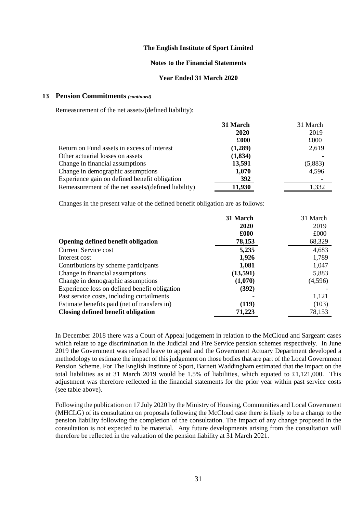### **Notes to the Financial Statements**

#### **Year Ended 31 March 2020**

#### **13 Pension Commitments** *(continued)*

Remeasurement of the net assets/(defined liability):

|                                                     | 31 March | 31 March |
|-----------------------------------------------------|----------|----------|
|                                                     | 2020     | 2019     |
|                                                     | £000     | £000     |
| Return on Fund assets in excess of interest         | (1,289)  | 2,619    |
| Other actuarial losses on assets                    | (1, 834) |          |
| Change in financial assumptions                     | 13,591   | (5,883)  |
| Change in demographic assumptions                   | 1,070    | 4,596    |
| Experience gain on defined benefit obligation       | 392      |          |
| Remeasurement of the net assets/(defined liability) | 11,930   | 1,332    |

Changes in the present value of the defined benefit obligation are as follows:

|                                               | 31 March | 31 March |
|-----------------------------------------------|----------|----------|
|                                               | 2020     | 2019     |
|                                               | £000     | £000     |
| <b>Opening defined benefit obligation</b>     | 78,153   | 68,329   |
| <b>Current Service cost</b>                   | 5,235    | 4,683    |
| Interest cost                                 | 1,926    | 1,789    |
| Contributions by scheme participants          | 1,081    | 1,047    |
| Change in financial assumptions               | (13,591) | 5,883    |
| Change in demographic assumptions             | (1,070)  | (4,596)  |
| Experience loss on defined benefit obligation | (392)    |          |
| Past service costs, including curtailments    |          | 1,121    |
| Estimate benefits paid (net of transfers in)  | (119)    | (103)    |
| Closing defined benefit obligation            | 71,223   | 78,153   |

In December 2018 there was a Court of Appeal judgement in relation to the McCloud and Sargeant cases which relate to age discrimination in the Judicial and Fire Service pension schemes respectively. In June 2019 the Government was refused leave to appeal and the Government Actuary Department developed a methodology to estimate the impact of this judgement on those bodies that are part of the Local Government Pension Scheme. For The English Institute of Sport, Barnett Waddingham estimated that the impact on the total liabilities as at 31 March 2019 would be 1.5% of liabilities, which equated to £1,121,000. This adjustment was therefore reflected in the financial statements for the prior year within past service costs (see table above).

Following the publication on 17 July 2020 by the Ministry of Housing, Communities and Local Government (MHCLG) of its consultation on proposals following the McCloud case there is likely to be a change to the pension liability following the completion of the consultation. The impact of any change proposed in the consultation is not expected to be material. Any future developments arising from the consultation will therefore be reflected in the valuation of the pension liability at 31 March 2021.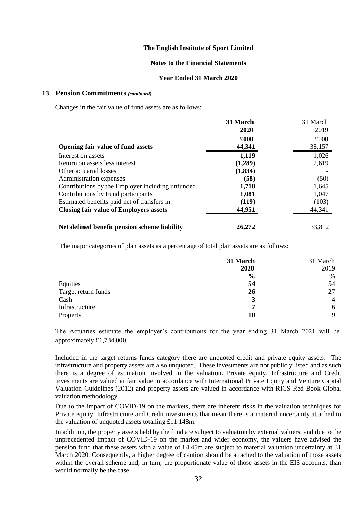### **Notes to the Financial Statements**

#### **Year Ended 31 March 2020**

#### **13 Pension Commitments** *(continued)*

Changes in the fair value of fund assets are as follows:

|                                                  | 31 March | 31 March |
|--------------------------------------------------|----------|----------|
|                                                  | 2020     | 2019     |
|                                                  | £000     | £000     |
| <b>Opening fair value of fund assets</b>         | 44,341   | 38,157   |
| Interest on assets                               | 1,119    | 1,026    |
| Return on assets less interest                   | (1,289)  | 2,619    |
| Other actuarial losses                           | (1, 834) |          |
| Administration expenses                          | (58)     | (50)     |
| Contributions by the Employer including unfunded | 1,710    | 1,645    |
| Contributions by Fund participants               | 1,081    | 1,047    |
| Estimated benefits paid net of transfers in      | (119)    | (103)    |
| <b>Closing fair value of Employers assets</b>    | 44,951   | 44,341   |
| Net defined benefit pension scheme liability     | 26,272   | 33,812   |

The major categories of plan assets as a percentage of total plan assets are as follows:

|                     | 31 March      | 31 March |
|---------------------|---------------|----------|
|                     | 2020          | 2019     |
|                     | $\frac{0}{0}$ | %        |
| Equities            | 54            | 54       |
| Target return funds | 26            | 27       |
| Cash                | 3             | 4        |
| Infrastructure      | 7             | 6        |
| Property            | 10            | Q        |

The Actuaries estimate the employer's contributions for the year ending 31 March 2021 will be approximately £1,734,000.

Included in the target returns funds category there are unquoted credit and private equity assets. The infrastructure and property assets are also unquoted. These investments are not publicly listed and as such there is a degree of estimation involved in the valuation. Private equity, Infrastructure and Credit investments are valued at fair value in accordance with International Private Equity and Venture Capital Valuation Guidelines (2012) and property assets are valued in accordance with RICS Red Book Global valuation methodology.

Due to the impact of COVID-19 on the markets, there are inherent risks in the valuation techniques for Private equity, Infrastructure and Credit investments that mean there is a material uncertainty attached to the valuation of unquoted assets totalling £11.148m.

In addition, the property assets held by the fund are subject to valuation by external valuers, and due to the unprecedented impact of COVID-19 on the market and wider economy, the valuers have advised the pension fund that these assets with a value of £4.45m are subject to material valuation uncertainty at 31 March 2020. Consequently, a higher degree of caution should be attached to the valuation of those assets within the overall scheme and, in turn, the proportionate value of those assets in the EIS accounts, than would normally be the case.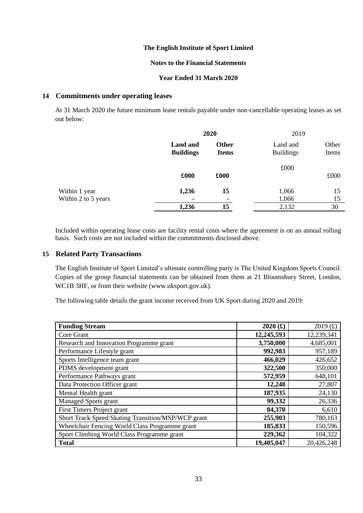### **Notes to the Financial Statements**

## **Year Ended 31 March 2020**

### **14 Commitments under operating leases**

At 31 March 2020 the future minimum lease rentals payable under non-cancellable operating leases as set out below:

|                                      |                                     | 2020                         | 2019                         |                |
|--------------------------------------|-------------------------------------|------------------------------|------------------------------|----------------|
|                                      | <b>Land and</b><br><b>Buildings</b> | <b>Other</b><br><b>Items</b> | Land and<br><b>Buildings</b> | Other<br>Items |
|                                      | £000                                | £000                         | £000                         | £000           |
| Within 1 year<br>Within 2 to 5 years | 1,236                               | 15<br>۰                      | 1,066<br>1,066               | 15<br>15       |
|                                      | 1,236                               | 15                           | 2,132                        | 30             |

Included within operating lease costs are facility rental costs where the agreement is on an annual rolling basis. Such costs are not included within the commitments disclosed above.

## **15 Related Party Transactions**

The English Institute of Sport Limited's ultimate controlling party is The United Kingdom Sports Council. Copies of the group financial statements can be obtained from them at 21 Bloomsbury Street, London, WC1B 3HF, or from their website (www.uksport.gov.uk).

The following table details the grant income received from UK Sport during 2020 and 2019:

| <b>Funding Stream</b>                              | 2020(f)    | 2019(f)    |
|----------------------------------------------------|------------|------------|
| Core Grant                                         | 12,245,593 | 12,239,341 |
| Research and Innovation Programme grant            | 3,750,000  | 4,685,001  |
| Performance Lifestyle grant                        | 992,983    | 957,189    |
| Sports Intelligence team grant                     | 466,029    | 426,652    |
| PDMS development grant                             | 322,500    | 350,000    |
| Performance Pathways grant                         | 572,959    | 648,101    |
| Data Protection Officer grant                      | 12,248     | 27,807     |
| Mental Health grant                                | 187,935    | 24,130     |
| <b>Managed Sports grant</b>                        | 99,332     | 26,336     |
| First Timers Project grant                         | 84,370     | 6,610      |
| Short Track Speed Skating Transition/MSP/WCP grant | 255,903    | 780,163    |
| Wheelchair Fencing World Class Programme grant     | 185,833    | 150,596    |
| Sport Climbing World Class Programme grant         | 229,362    | 104,322    |
| <b>Total</b>                                       | 19,405,047 | 20,426,248 |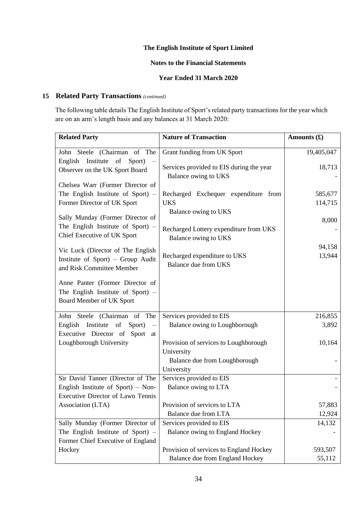## **Notes to the Financial Statements**

## **Year Ended 31 March 2020**

## **15 Related Party Transactions** *(continued)*

The following table details The English Institute of Sport's related party transactions for the year which are on an arm's length basis and any balances at 31 March 2020:

| <b>Related Party</b>                                                     | <b>Nature of Transaction</b>                                     | Amounts $(\mathbf{\pounds})$ |
|--------------------------------------------------------------------------|------------------------------------------------------------------|------------------------------|
| John Steele (Chairman of The                                             | Grant funding from UK Sport                                      | 19,405,047                   |
| English<br>Institute of<br>Sport)                                        |                                                                  |                              |
| Observer on the UK Sport Board                                           | Services provided to EIS during the year<br>Balance owing to UKS | 18,713                       |
| Chelsea Warr (Former Director of                                         |                                                                  |                              |
| The English Institute of Sport) $-$                                      | Recharged Exchequer expenditure from                             | 585,677                      |
| Former Director of UK Sport                                              | <b>UKS</b>                                                       | 114,715                      |
| Sally Munday (Former Director of                                         | Balance owing to UKS                                             | 8,000                        |
| The English Institute of Sport) $-$                                      | Recharged Lottery expenditure from UKS                           |                              |
| Chief Executive of UK Sport                                              | Balance owing to UKS                                             |                              |
| Vic Luck (Director of The English                                        |                                                                  | 94,158                       |
| Institute of Sport) – Group Audit                                        | Recharged expenditure to UKS                                     | 13,944                       |
| and Risk Committee Member                                                | Balance due from UKS                                             |                              |
| Anne Panter (Former Director of                                          |                                                                  |                              |
| The English Institute of Sport) $-$                                      |                                                                  |                              |
| Board Member of UK Sport                                                 |                                                                  |                              |
| John Steele (Chairman of The                                             | Services provided to EIS                                         | 216,855                      |
| English Institute of Sport)<br>$\overline{\phantom{m}}$                  | Balance owing to Loughborough                                    | 3,892                        |
| Executive Director of Sport<br>at                                        |                                                                  |                              |
| Loughborough University                                                  | Provision of services to Loughborough                            | 10,164                       |
|                                                                          | University<br>Balance due from Loughborough                      |                              |
|                                                                          | University                                                       |                              |
| Sir David Tanner (Director of The                                        | Services provided to EIS                                         |                              |
| English Institute of Sport) $-$ Non-                                     | Balance owing to LTA                                             |                              |
| Executive Director of Lawn Tennis                                        |                                                                  |                              |
| Association (LTA)                                                        | Provision of services to LTA                                     | 57,883                       |
|                                                                          | Balance due from LTA                                             | 12,924                       |
| Sally Munday (Former Director of                                         | Services provided to EIS                                         | 14,132                       |
| The English Institute of Sport) $-$<br>Former Chief Executive of England | Balance owing to England Hockey                                  |                              |
| Hockey                                                                   | Provision of services to England Hockey                          | 593,507                      |
|                                                                          | Balance due from England Hockey                                  | 55,112                       |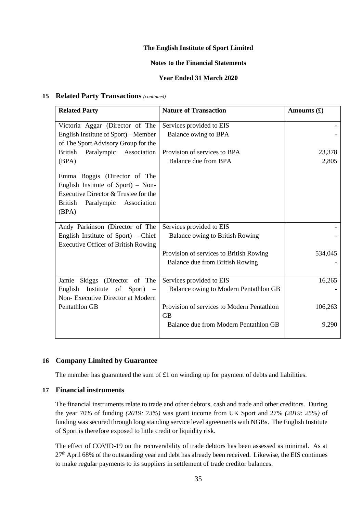### **Notes to the Financial Statements**

## **Year Ended 31 March 2020**

## **15 Related Party Transactions** *(continued)*

| <b>Related Party</b>                                                                                                                                                 | <b>Nature of Transaction</b>                                               | Amounts $(f)$   |
|----------------------------------------------------------------------------------------------------------------------------------------------------------------------|----------------------------------------------------------------------------|-----------------|
| Victoria Aggar (Director of The<br>English Institute of Sport) – Member<br>of The Sport Advisory Group for the                                                       | Services provided to EIS<br>Balance owing to BPA                           |                 |
| Paralympic<br>Association<br>British<br>(BPA)                                                                                                                        | Provision of services to BPA<br>Balance due from BPA                       | 23,378<br>2,805 |
| Emma Boggis (Director of The<br>English Institute of Sport) $-$ Non-<br>Executive Director & Trustee for the<br>Paralympic<br>Association<br><b>British</b><br>(BPA) |                                                                            |                 |
| Andy Parkinson (Director of The<br>English Institute of $Sport$ ) – Chief                                                                                            | Services provided to EIS<br>Balance owing to British Rowing                |                 |
| <b>Executive Officer of British Rowing</b>                                                                                                                           | Provision of services to British Rowing<br>Balance due from British Rowing | 534,045         |
| Jamie<br>Skiggs (Director of The<br>English Institute of Sport) $-$<br>Non- Executive Director at Modern                                                             | Services provided to EIS<br>Balance owing to Modern Pentathlon GB          | 16,265          |
| Pentathlon GB                                                                                                                                                        | Provision of services to Modern Pentathlon<br><b>GB</b>                    | 106,263         |
|                                                                                                                                                                      | Balance due from Modern Pentathlon GB                                      | 9,290           |

## **16 Company Limited by Guarantee**

The member has guaranteed the sum of £1 on winding up for payment of debts and liabilities.

## **17 Financial instruments**

The financial instruments relate to trade and other debtors, cash and trade and other creditors. During the year 70% of funding *(2019: 73%)* was grant income from UK Sport and 27% *(2019: 25%)* of funding was secured through long standing service level agreements with NGBs. The English Institute of Sport is therefore exposed to little credit or liquidity risk.

The effect of COVID-19 on the recoverability of trade debtors has been assessed as minimal. As at  $27<sup>th</sup>$  April 68% of the outstanding year end debt has already been received. Likewise, the EIS continues to make regular payments to its suppliers in settlement of trade creditor balances.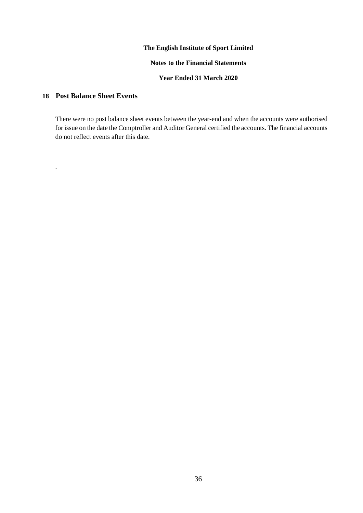## **Notes to the Financial Statements**

## **Year Ended 31 March 2020**

## **18 Post Balance Sheet Events**

.

There were no post balance sheet events between the year-end and when the accounts were authorised for issue on the date the Comptroller and Auditor General certified the accounts. The financial accounts do not reflect events after this date.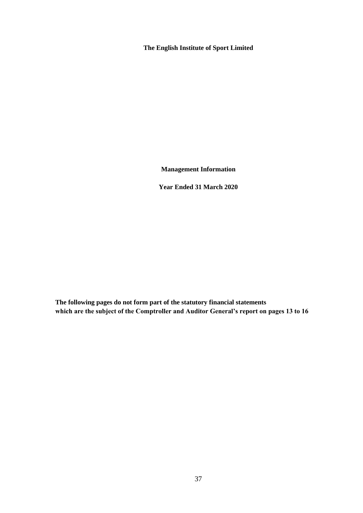**Management Information**

**Year Ended 31 March 2020**

**The following pages do not form part of the statutory financial statements which are the subject of the Comptroller and Auditor General's report on pages 13 to 16**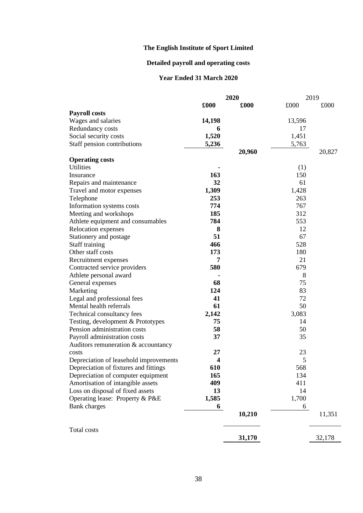## **Detailed payroll and operating costs**

## **Year Ended 31 March 2020**

|                                        |                         | 2020   |        | 2019   |
|----------------------------------------|-------------------------|--------|--------|--------|
|                                        | £000                    | £000   | £000   | £000   |
| <b>Payroll costs</b>                   |                         |        |        |        |
| Wages and salaries                     | 14,198                  |        | 13,596 |        |
| Redundancy costs                       | 6                       |        | 17     |        |
| Social security costs                  | 1,520                   |        | 1,451  |        |
| Staff pension contributions            | 5,236                   |        | 5,763  |        |
|                                        |                         | 20,960 |        | 20,827 |
| <b>Operating costs</b>                 |                         |        |        |        |
| <b>Utilities</b>                       |                         |        | (1)    |        |
| Insurance                              | 163                     |        | 150    |        |
| Repairs and maintenance                | 32                      |        | 61     |        |
| Travel and motor expenses              | 1,309                   |        | 1,428  |        |
| Telephone                              | 253                     |        | 263    |        |
| Information systems costs              | 774                     |        | 767    |        |
| Meeting and workshops                  | 185                     |        | 312    |        |
| Athlete equipment and consumables      | 784                     |        | 553    |        |
| Relocation expenses                    | 8                       |        | 12     |        |
| Stationery and postage                 | 51                      |        | 67     |        |
| <b>Staff training</b>                  | 466                     |        | 528    |        |
| Other staff costs                      | 173                     |        | 180    |        |
| Recruitment expenses                   | 7                       |        | 21     |        |
| Contracted service providers           | 580                     |        | 679    |        |
| Athlete personal award                 |                         |        | 8      |        |
| General expenses                       | 68                      |        | 75     |        |
| Marketing                              | 124                     |        | 83     |        |
| Legal and professional fees            | 41                      |        | 72     |        |
| Mental health referrals                | 61                      |        | 50     |        |
| Technical consultancy fees             | 2,142                   |        | 3,083  |        |
| Testing, development & Prototypes      | 75                      |        | 14     |        |
| Pension administration costs           | 58                      |        | 50     |        |
| Payroll administration costs           | 37                      |        | 35     |        |
| Auditors remuneration & accountancy    |                         |        |        |        |
| costs                                  | 27                      |        | 23     |        |
| Depreciation of leasehold improvements | $\overline{\mathbf{4}}$ |        | 5      |        |
| Depreciation of fixtures and fittings  | 610                     |        | 568    |        |
| Depreciation of computer equipment     | 165                     |        | 134    |        |
| Amortisation of intangible assets      | 409                     |        | 411    |        |
| Loss on disposal of fixed assets       | 13                      |        | 14     |        |
| Operating lease: Property & P&E        | 1,585                   |        | 1,700  |        |
| <b>Bank</b> charges                    | 6                       |        |        |        |
|                                        |                         | 10,210 | 6      | 11,351 |
|                                        |                         |        |        |        |
|                                        |                         |        |        |        |
| Total costs                            |                         |        |        |        |
|                                        |                         | 31,170 |        | 32,178 |